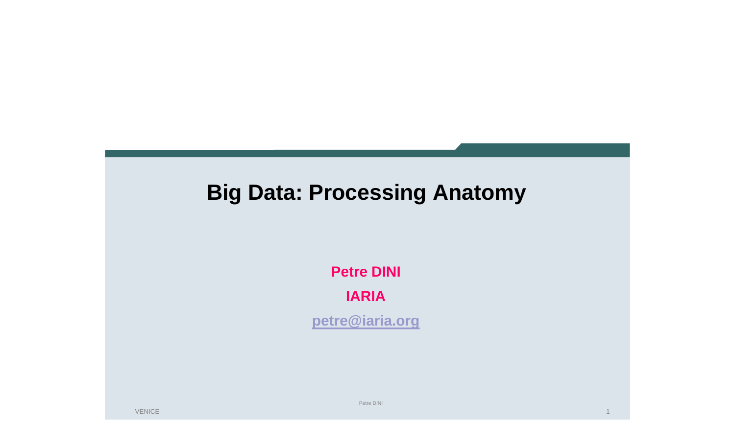## **Big Data: Processing Anatomy**

**Petre DINI IARIA**

**petre@iaria.org**

VENICE

Petre DINI

1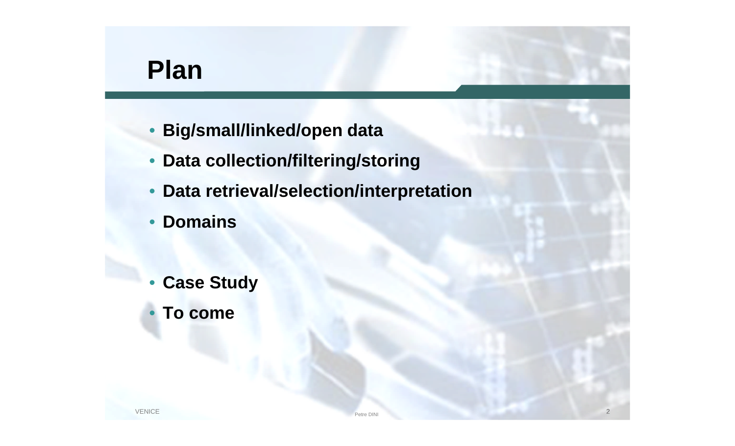## **Plan**

- **Big/small/linked/open data**
- **Data collection/filtering/storing**
- **Data retrieval/selection/interpretation**
- **Domains**
- **Case Study**
- **To come**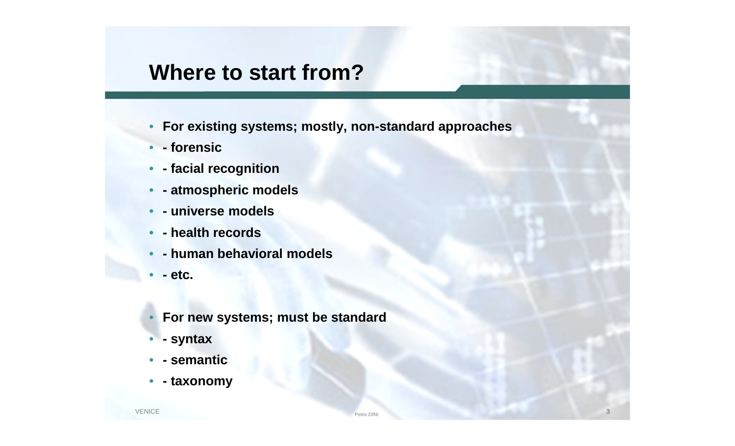### **Where to start from?**

- **For existing systems; mostly, non-standard approaches**
- **- forensic**
- **- facial recognition**
- **- atmospheric models**
- **- universe models**
- **- health records**
- **- human behavioral models**
- **- etc.**
- **For new systems; must be standard**
- **- syntax**
- **- semantic**
- **- taxonomy**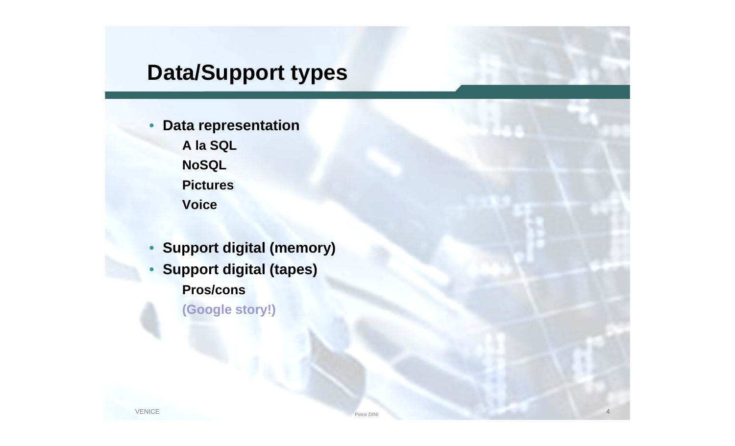## **Data/Support types**

- **Data representation A la SQL NoSQL Pictures Voice**
- **Support digital (memory)**
- **Support digital (tapes) Pros/cons**

**(Google story!)**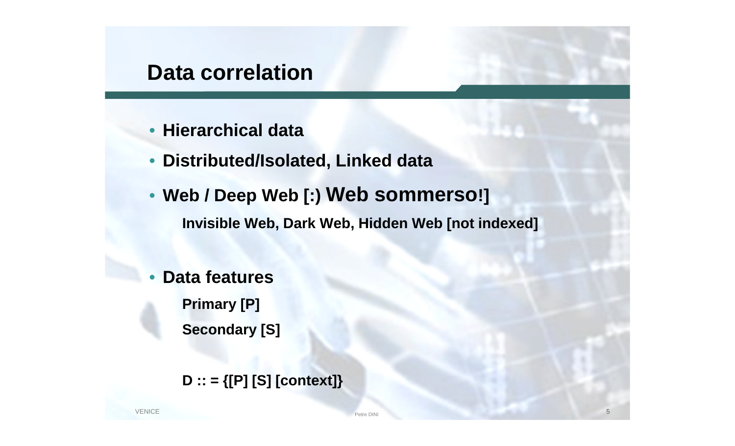### **Data correlation**

- **Hierarchical data**
- **Distributed/Isolated, Linked data**
- **Web / Deep Web [:) Web sommerso!] Invisible Web, Dark Web, Hidden Web [not indexed]**
- **Data features Primary [P] Secondary [S]**

**D :: = {[P] [S] [context]}**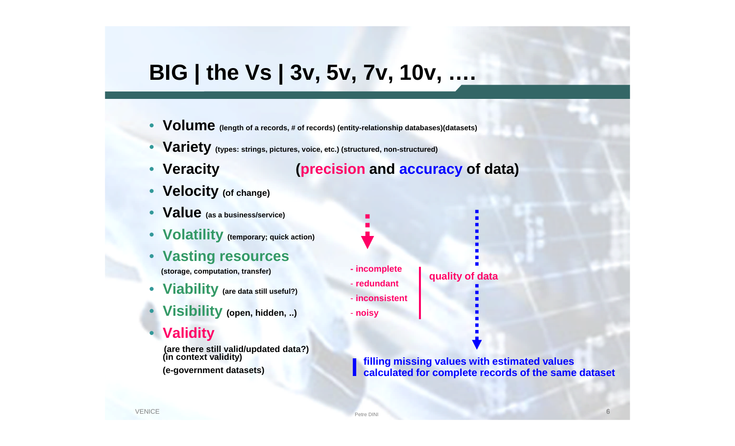## **BIG | the Vs | 3v, 5v, 7v, 10v, ….**

- **Volume (length of a records, # of records) (entity-relationship databases)(datasets)**
- **Variety (types: strings, pictures, voice, etc.) (structured, non-structured)**
- 

#### • **Veracity (precision and accuracy of data)**

- **Velocity (of change)**
- **Value (as a business/service)**
- **Volatility (temporary; quick action)**
- **Vasting resources**

**(storage, computation, transfer)**

- **Viability (are data still useful?)**
- **Visibility (open, hidden, ..)**
- **Validity**

**(are there still valid/updated data?) (in context validity)**

**(e-government datasets)**

**- incomplete**

- **redundant**

- **inconsistent**

- **noisy**

**filling missing values with estimated values calculated for complete records of the same dataset**

**quality of data**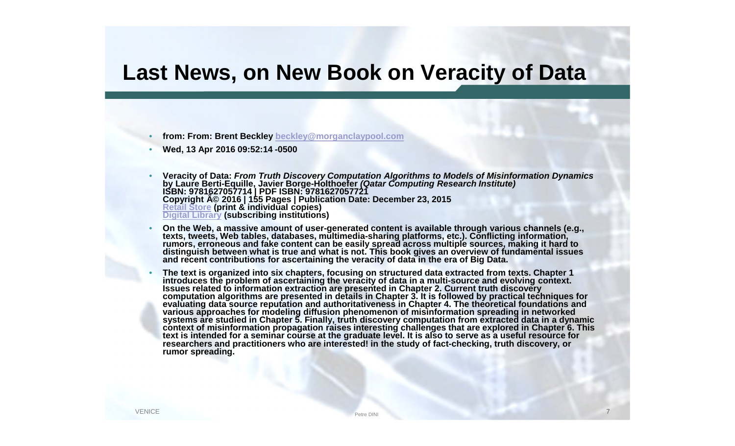### **Last News, on New Book on Veracity of Data**

- **from: From: Brent Beckley beckley@morganclaypool.com**
- **Wed, 13 Apr 2016 09:52:14 -0500**
- **Veracity of Data:** *From Truth Discovery Computation Algorithms to Models of Misinformation Dynamics* **by Laure Berti-Equille, Javier Borge-Holthoefer** *(Qatar Computing Research Institute)* **Copyright**  $\widehat{A}$ **© 2016 | 155 Pages | Publication Date: December 23, 2015 Retail Store (print & individual copies) Digital Library (subscribing institutions)**
- **On the Web, a massive amount of user-generated content is available through various channels (e.g., texts, tweets, Web tables, databases, multimedia-sharing platforms, etc.). Conflicting information, rumors, erroneous and fake content can be easily spread across multiple sources, making it hard to distinguish between what is true and what is not. This book gives an overview of fundamental issues and recent contributions for ascertaining the veracity of data in the era of Big Data.**
- **The text is organized into six chapters, focusing on structured data extracted from texts. Chapter 1 introduces the problem of ascertaining the veracity of data in a multi-source and evolving context. Issues related to information extraction are presented in Chapter 2. Current truth discovery computation algorithms are presented in details in Chapter 3. It is followed by practical techniques for evaluating data source reputation and authoritativeness in Chapter 4. The theoretical foundations and various approaches for modeling diffusion phenomenon of misinformation spreading in networked systems are studied in Chapter 5. Finally, truth discovery computation from extracted data in a dynamic context of misinformation propagation raises interesting challenges that are explored in Chapter 6. This text is intended for a seminar course at the graduate level. It is also to serve as a useful resource for researchers and practitioners who are interested! in the study of fact-checking, truth discovery, or rumor spreading.**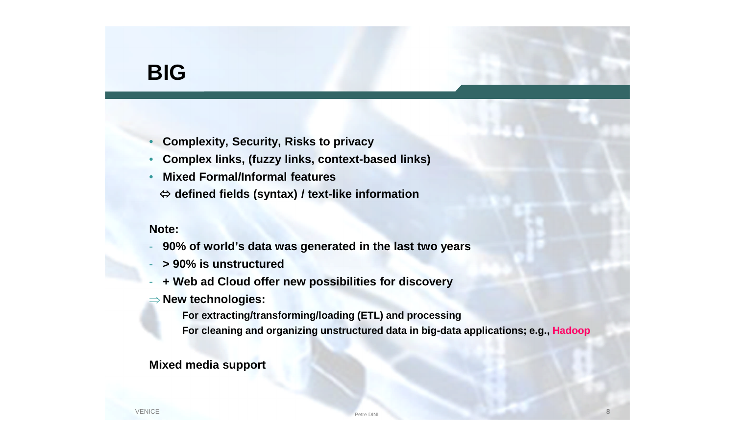### **BIG**

- **Complexity, Security, Risks to privacy**
- **Complex links, (fuzzy links, context-based links)**
- **Mixed Formal/Informal features**
	- **defined fields (syntax) / text-like information**

#### **Note:**

- **90% of world's data was generated in the last two years**
- **> 90% is unstructured**
- **+ Web ad Cloud offer new possibilities for discovery**
- **New technologies:**
	- **For extracting/transforming/loading (ETL) and processing**
	- **For cleaning and organizing unstructured data in big-data applications; e.g., Hadoop**

#### **Mixed media support**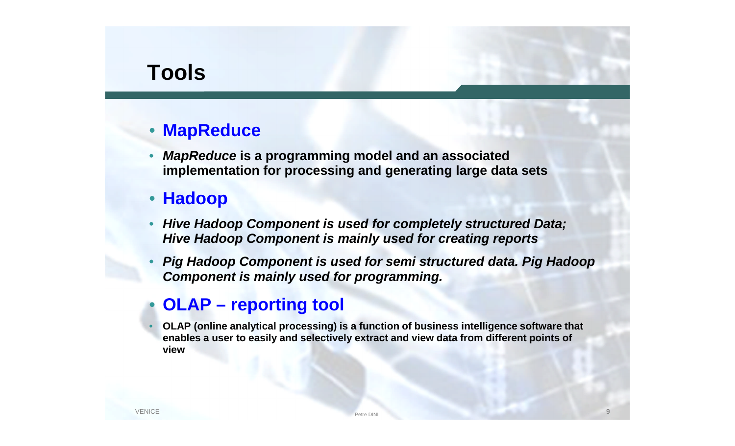### **Tools**

#### • **MapReduce**

• *MapReduce* **is a programming model and an associated implementation for processing and generating large data sets**

#### • **Hadoop**

- *Hive Hadoop Component is used for completely structured Data; Hive Hadoop Component is mainly used for creating reports*
- *Pig Hadoop Component is used for semi structured data. Pig Hadoop Component is mainly used for programming.*

#### • **OLAP – reporting tool**

• **OLAP (online analytical processing) is a function of business intelligence software that enables a user to easily and selectively extract and view data from different points of view**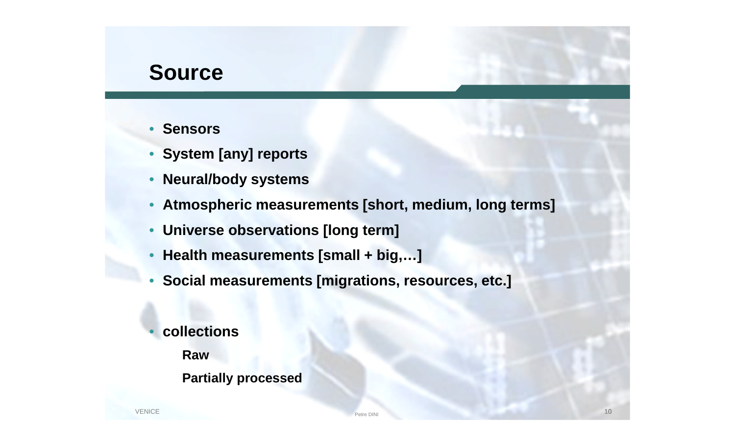### **Source**

- **Sensors**
- **System [any] reports**
- **Neural/body systems**
- **Atmospheric measurements [short, medium, long terms]**
- **Universe observations [long term]**
- **Health measurements [small + big,…]**
- **Social measurements [migrations, resources, etc.]**
- **collections**
	- **Raw**
	- **Partially processed**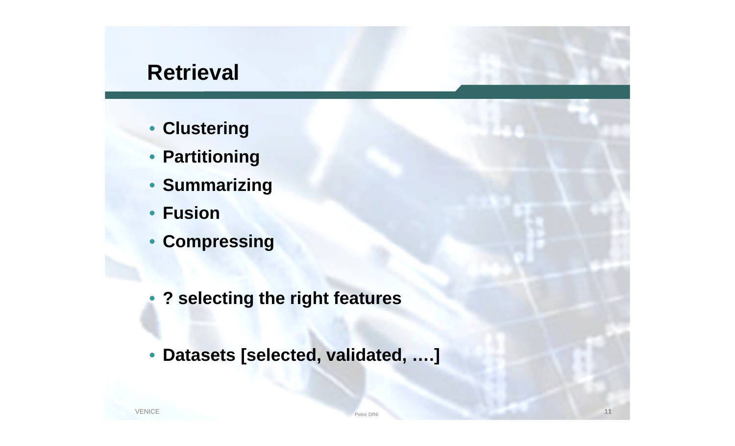### **Retrieval**

- **Clustering**
- **Partitioning**
- **Summarizing**
- **Fusion**
- **Compressing**
- **? selecting the right features**
- **Datasets [selected, validated, ….]**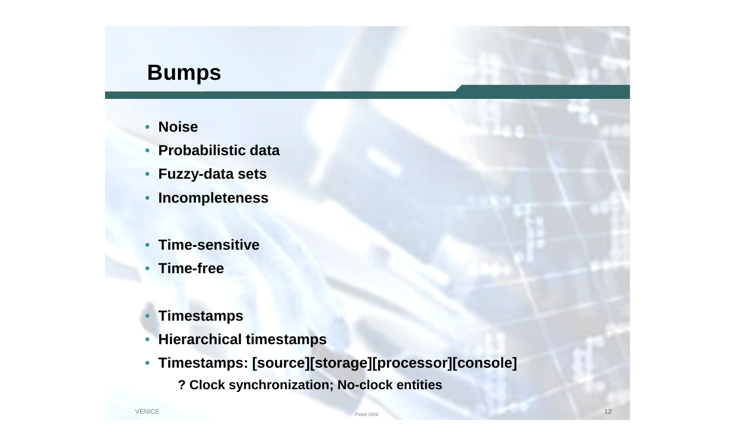### **Bumps**

- **Noise**
- **Probabilistic data**
- **Fuzzy-data sets**
- **Incompleteness**
- **Time-sensitive**
- **Time-free**
- **Timestamps**
- **Hierarchical timestamps**
- **Timestamps: [source][storage][processor][console]**
	- **? Clock synchronization; No-clock entities**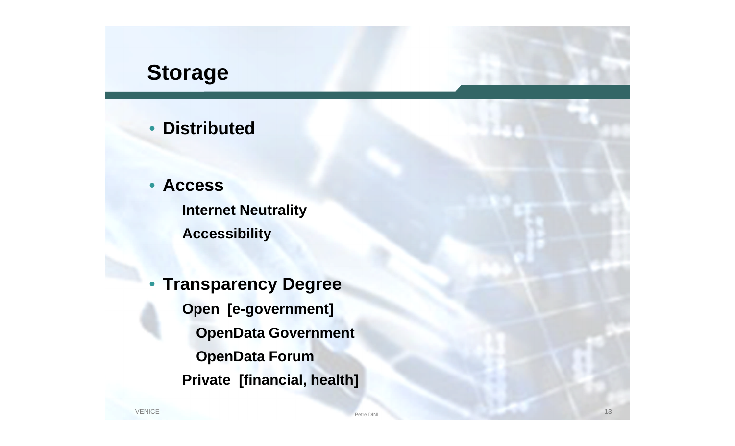## **Storage**

#### • **Distributed**

• **Access Internet Neutrality Accessibility**

• **Transparency Degree Open [e-government] OpenData Government OpenData Forum Private [financial, health]**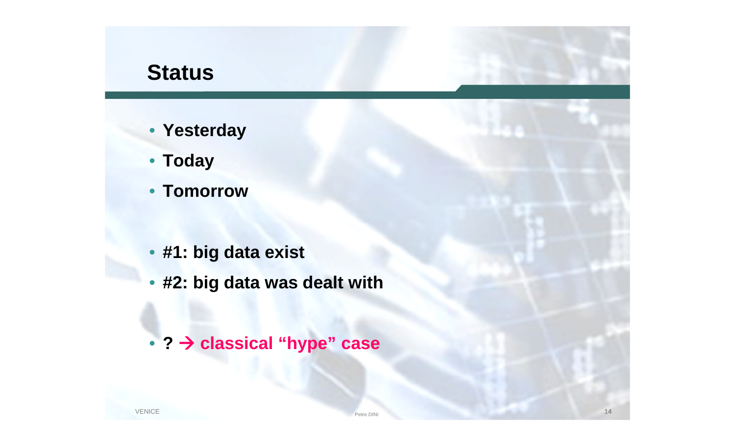## **Status**

- **Yesterday**
- **Today**
- **Tomorrow**
- **#1: big data exist**
- **#2: big data was dealt with**
- **? classical "hype" case**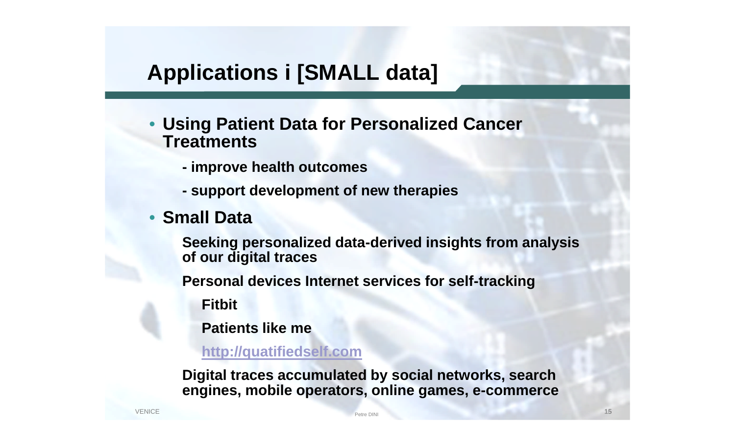## **Applications i [SMALL data]**

- **Using Patient Data for Personalized Cancer Treatments**
	- **- improve health outcomes**
	- **- support development of new therapies**
- **Small Data**

**Seeking personalized data-derived insights from analysis of our digital traces**

**Personal devices Internet services for self-tracking**

**Fitbit**

**Patients like me**

**http://quatifiedself.com**

**Digital traces accumulated by social networks, search engines, mobile operators, online games, e-commerce**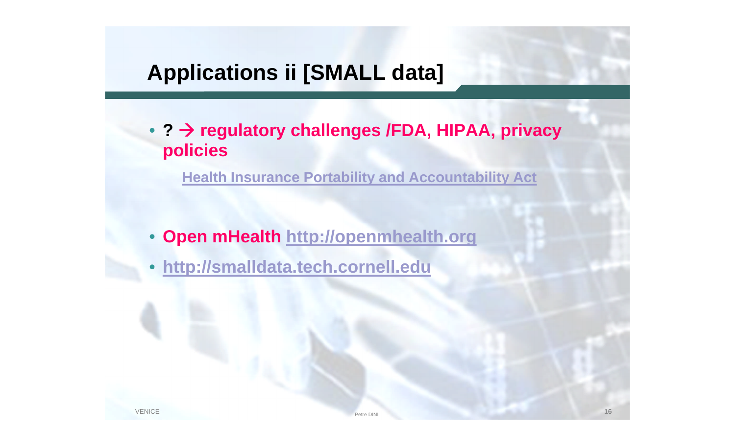## **Applications ii [SMALL data]**

• **? regulatory challenges /FDA, HIPAA, privacy policies**

**Health Insurance Portability and Accountability Act**

- **Open mHealth http://openmhealth.org**
- **http://smalldata.tech.cornell.edu**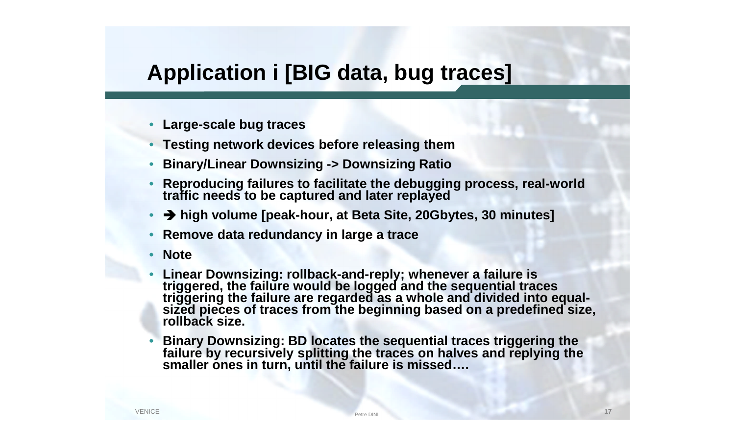## **Application i [BIG data, bug traces]**

- **Large-scale bug traces**
- **Testing network devices before releasing them**
- **Binary/Linear Downsizing -> Downsizing Ratio**
- **Reproducing failures to facilitate the debugging process, real-world traffic needs to be captured and later replayed**
- **high volume [peak-hour, at Beta Site, 20Gbytes, 30 minutes]**
- **Remove data redundancy in large a trace**
- **Note**
- **Linear Downsizing: rollback-and-reply; whenever a failure is triggered, the failure would be logged and the sequential traces triggering the failure are regarded as a whole and divided into equalsized pieces of traces from the beginning based on a predefined size, rollback size.**
- **Binary Downsizing: BD locates the sequential traces triggering the failure by recursively splitting the traces on halves and replying the smaller ones in turn, until the failure is missed….**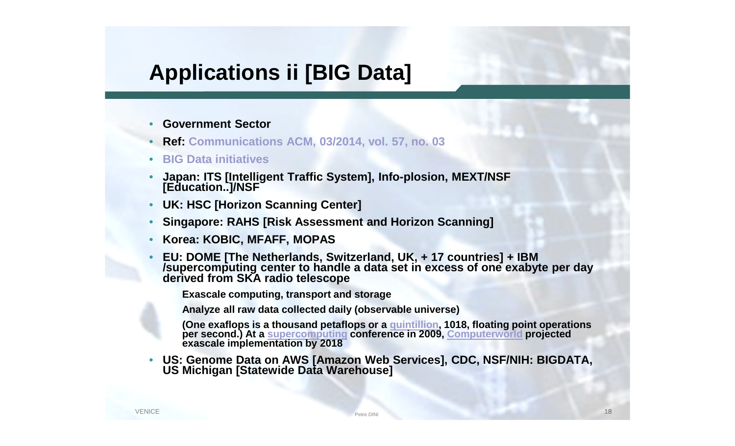## **Applications ii [BIG Data]**

- **Government Sector**
- **Ref: Communications ACM, 03/2014, vol. 57, no. 03**
- **BIG Data initiatives**
- **Japan: ITS [Intelligent Traffic System], Info-plosion, MEXT/NSF [Education..]/NSF**
- **UK: HSC [Horizon Scanning Center]**
- **Singapore: RAHS [Risk Assessment and Horizon Scanning]**
- **Korea: KOBIC, MFAFF, MOPAS**
- **EU: DOME [The Netherlands, Switzerland, UK, + 17 countries] + IBM /supercomputing center to handle a data set in excess of one exabyte per day derived from SKA radio telescope**

**Exascale computing, transport and storage**

**Analyze all raw data collected daily (observable universe)**

**(One exaflops is a thousand petaflops or a quintillion, 1018, floating point operations per second.) At a supercomputing conference in 2009, Computerworld projected exascale implementation by 2018**

• **US: Genome Data on AWS [Amazon Web Services], CDC, NSF/NIH: BIGDATA, US Michigan [Statewide Data Warehouse]**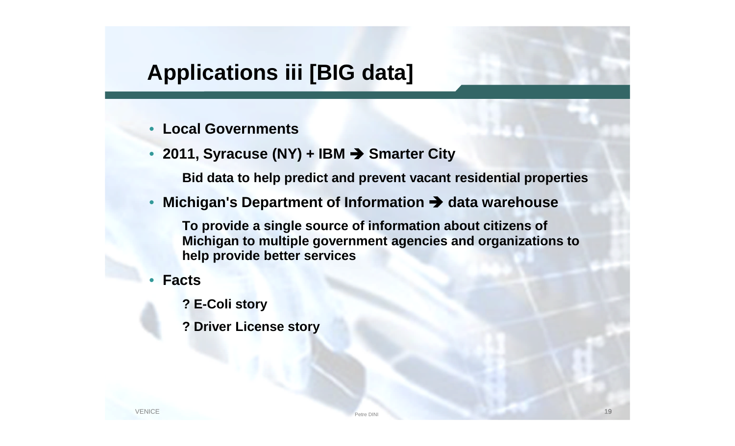## **Applications iii [BIG data]**

- **Local Governments**
- **2011, Syracuse (NY) + IBM Smarter City**

**Bid data to help predict and prevent vacant residential properties**

• Michigan's Department of Information  $\rightarrow$  data warehouse

**To provide a single source of information about citizens of Michigan to multiple government agencies and organizations to help provide better services**

- **Facts**
	- **? E-Coli story**
	- **? Driver License story**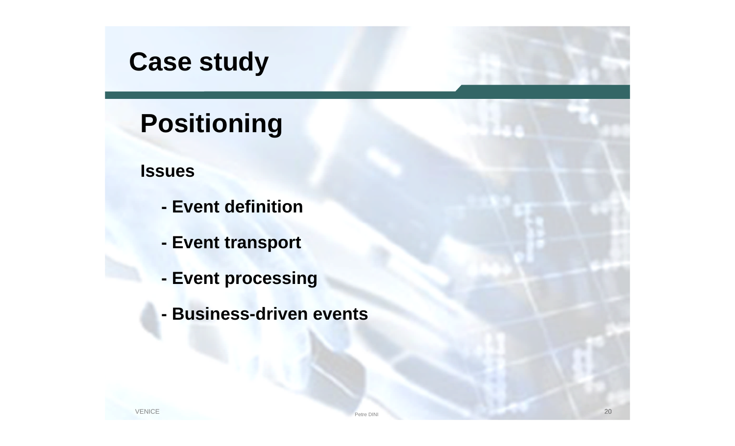# **Case study**

# **Positioning**

#### **Issues**

- **- Event definition**
- **- Event transport**
- **- Event processing**
- **- Business-driven events**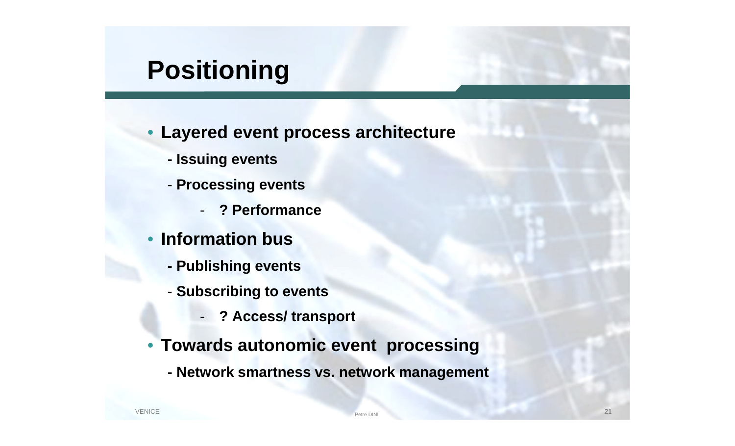# **Positioning**

- **Layered event process architecture**
	- **- Issuing events**
	- **Processing events**
		- **? Performance**
- **Information bus**
	- **- Publishing events**
	- **Subscribing to events**
		- **? Access/ transport**
- **Towards autonomic event processing**
	- **- Network smartness vs. network management**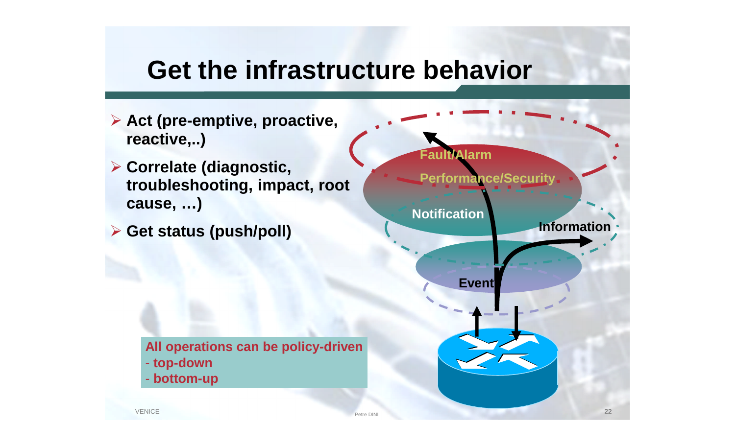## **Get the infrastructure behavior**

**22** Petre DINI Petre DINI **Act (pre-emptive, proactive, reactive,..) Correlate (diagnostic, troubleshooting, impact, root cause, …) Get status (push/poll) Information Event Notification Fault/Alarm Performance/Security All operations can be policy-driven** - **top-down** - **bottom-up**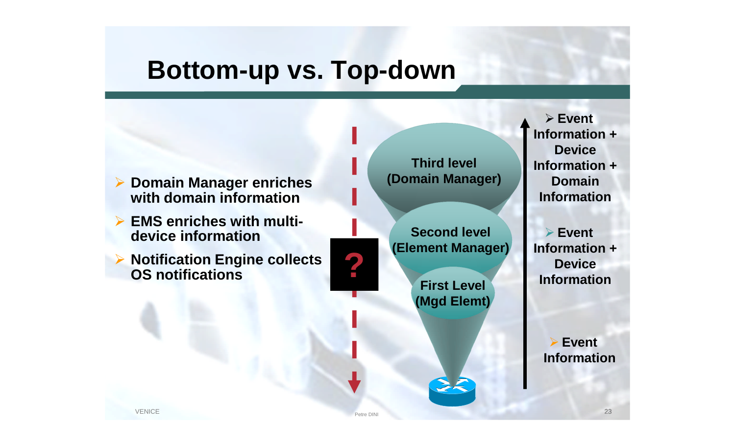## **Bottom-up vs. Top-down**



- **EMS enriches with multidevice information**
- **▶ Notification Engine collects OS notifications**

**Third level (Domain Manager)**

**Second level (Element Manager)**

> **First Level (Mgd Elemt)**

> > $z<$

 **Event Information + Device Information + Domain Information**

 **Event Information + Particular Property Service**<br> **Eiret Level**<br> **Device**<br> **Information** 

> **Event Information**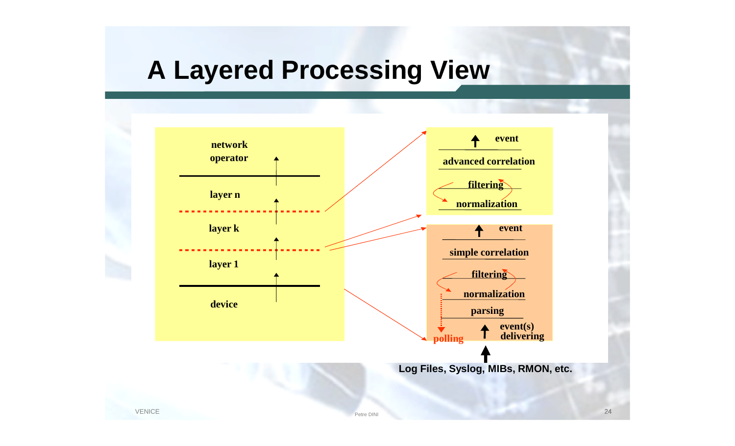# **A Layered Processing View**

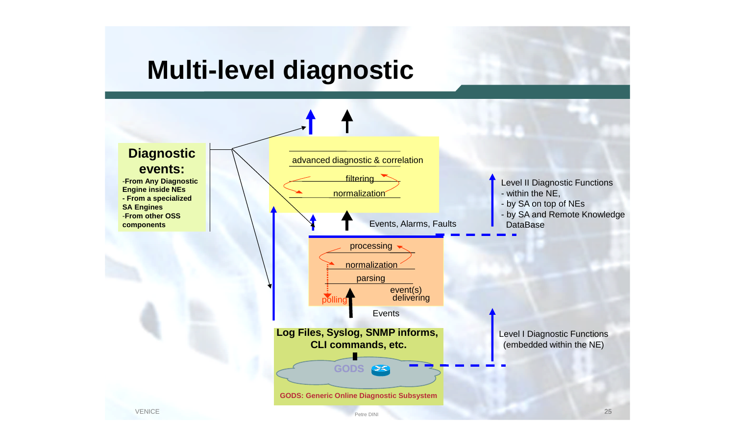# **Multi-level diagnostic**

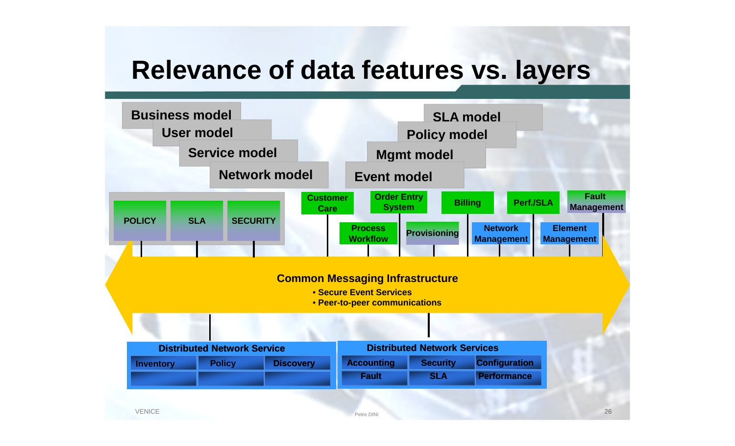## **Relevance of data features vs. layers**

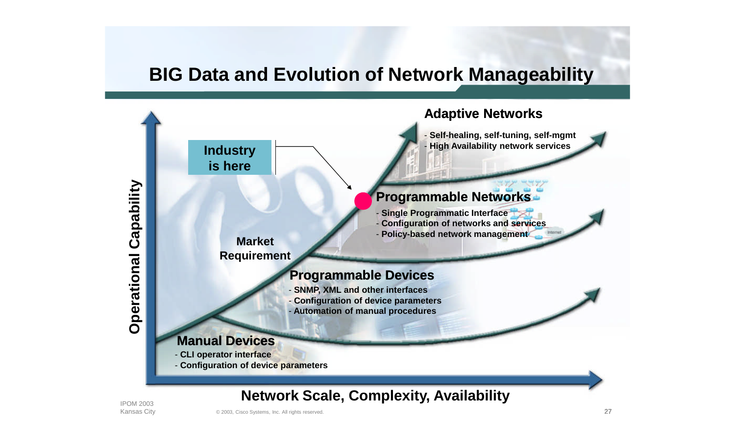#### **BIG Data and Evolution of Network Manageability**



IPOM 2003 Kansas City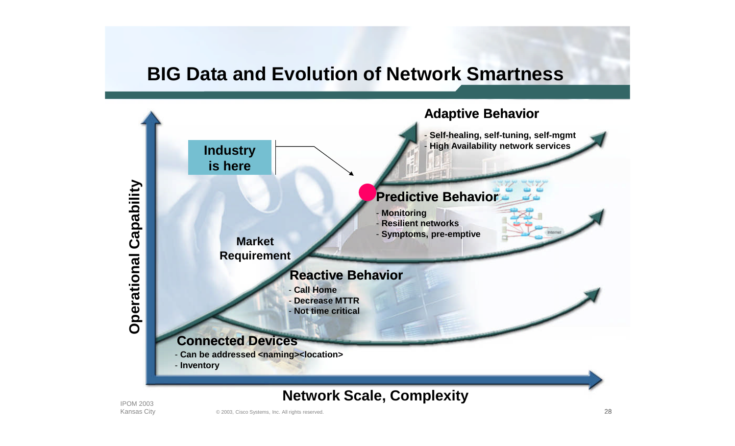#### **BIG Data and Evolution of Network Smartness**



IPOM 2003 Kansas City

 $\alpha$  2003, Cisco Systems, Inc. All rights reserved.  $28$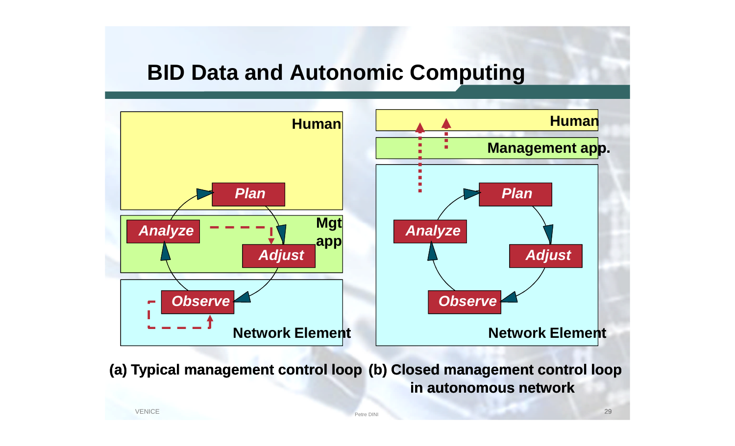### **BID Data and Autonomic Computing**



**(a) Typical management control loop (b) Closed management control loop in autonomous network**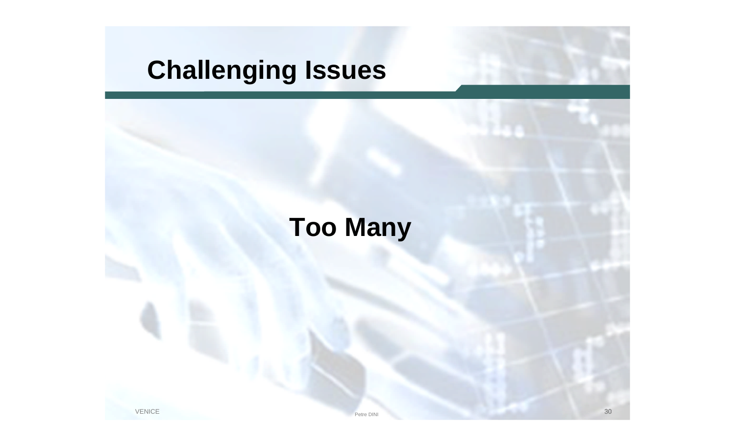# **Challenging Issues**

# **Too Many**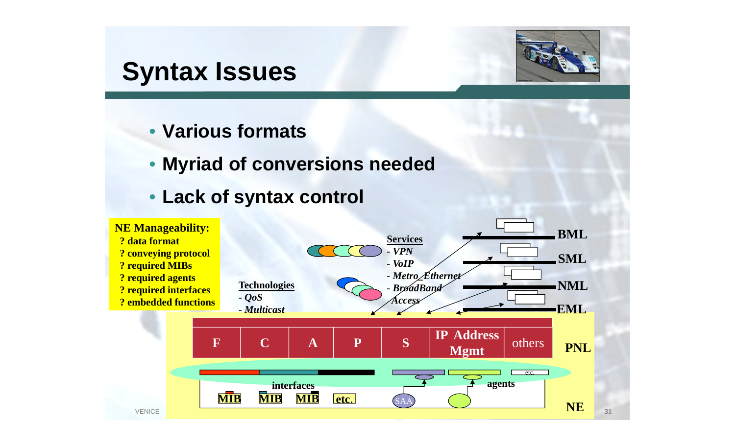## **Syntax Issues**



- **Various formats**
- **Myriad of conversions needed**
- **Lack of syntax control**

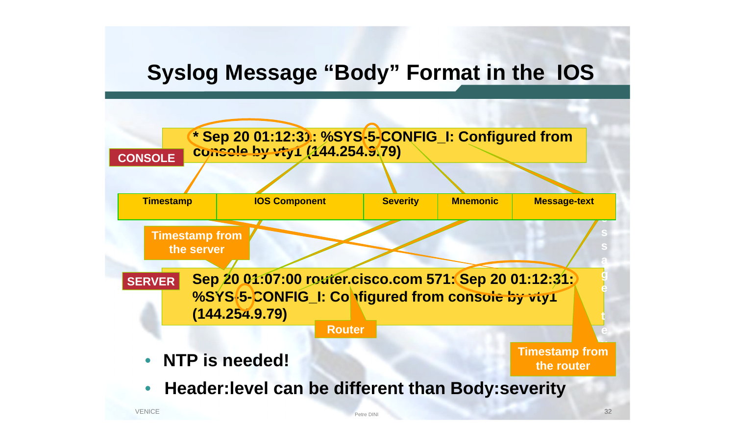## **Syslog Message "Body" Format in the IOS**

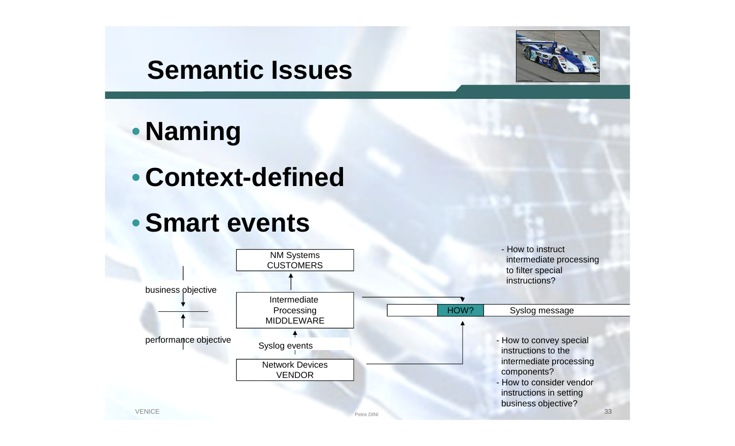## **Semantic Issues**



# • **Naming**

## • **Context-defined**

## •**Smart events**

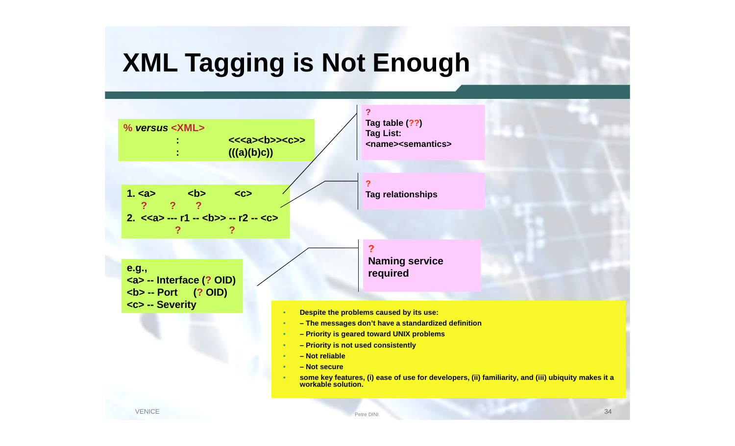# **XML Tagging is Not Enough**

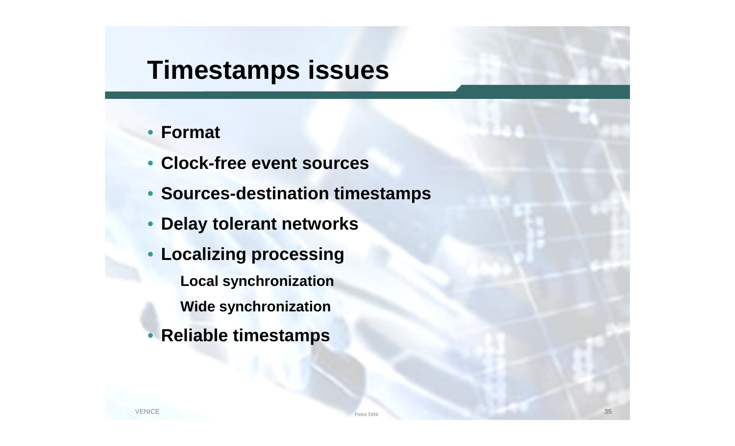## **Timestamps issues**

#### • **Format**

- **Clock-free event sources**
- **Sources-destination timestamps**
- **Delay tolerant networks**
- **Localizing processing Local synchronization Wide synchronization**
- **Reliable timestamps**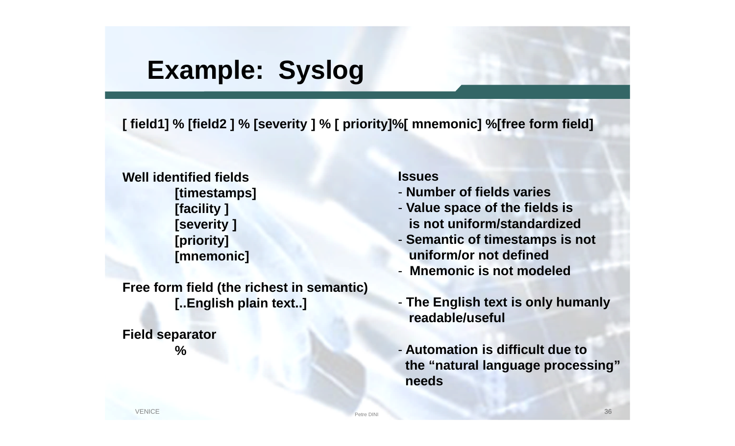## **Example: Syslog**

**[ field1] % [field2 ] % [severity ] % [ priority]%[ mnemonic] %[free form field]**

**Well identified fields [timestamps] [facility ] [severity ] [priority] [mnemonic]**

**Free form field (the richest in semantic) [..English plain text..]**

**Field separator %**

#### **Issues**

- **Number of fields varies**
- **Value space of the fields is is not uniform/standardized**
- **Semantic of timestamps is not uniform/or not defined**
- **Mnemonic is not modeled**
- **The English text is only humanly readable/useful**
- **Automation is difficult due to the "natural language processing" needs**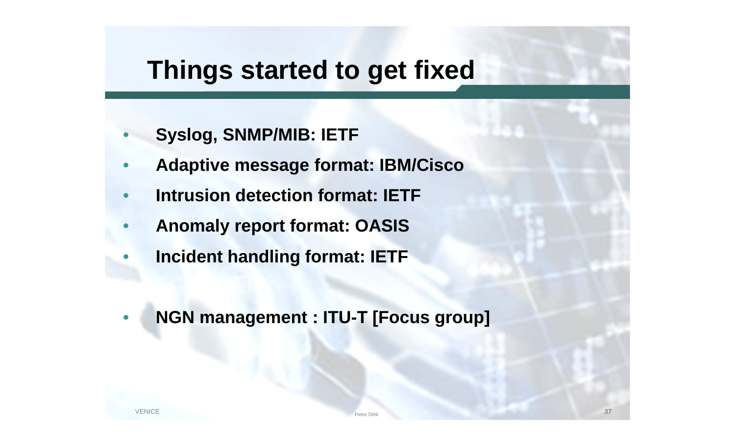# **Things started to get fixed**

- **Syslog, SNMP/MIB: IETF**
- **Adaptive message format: IBM/Cisco**
- **Intrusion detection format: IETF**
- **Anomaly report format: OASIS**
- **Incident handling format: IETF**
- **NGN management : ITU-T [Focus group]**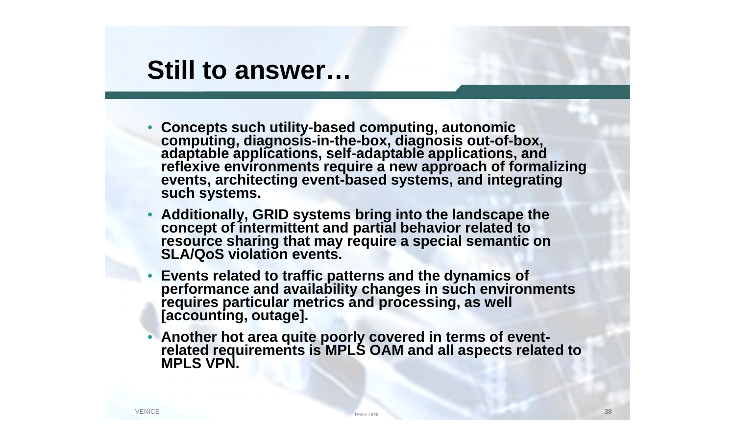## **Still to answer…**

- **Concepts such utility-based computing, autonomic computing, diagnosis-in-the-box, diagnosis out-of-box, adaptable applications, self-adaptable applications, and reflexive environments require a new approach of formalizing events, architecting event-based systems, and integrating such systems.**
- **Additionally, GRID systems bring into the landscape the concept of intermittent and partial behavior related to resource sharing that may require a special semantic on SLA/QoS violation events.**
- **Events related to traffic patterns and the dynamics of performance and availability changes in such environments requires particular metrics and processing, as well [accounting, outage].**
- **Another hot area quite poorly covered in terms of eventrelated requirements is MPLS OAM and all aspects related to MPLS VPN.**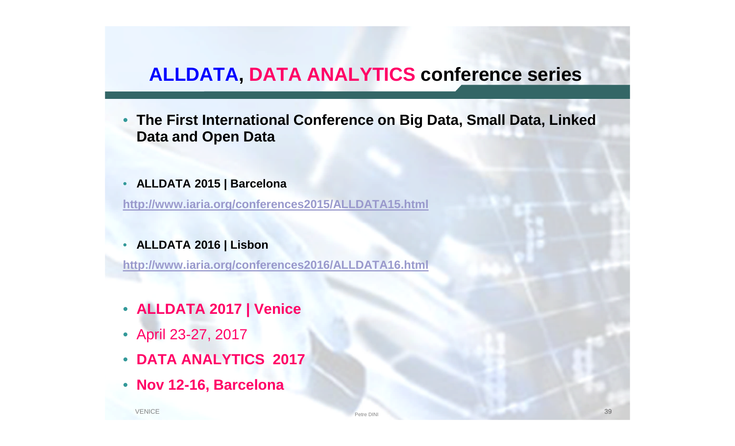#### **ALLDATA, DATA ANALYTICS conference series**

- **The First International Conference on Big Data, Small Data, Linked Data and Open Data**
- **ALLDATA 2015 | Barcelona**

**http://www.iaria.org/conferences2015/ALLDATA15.html**

#### • **ALLDATA 2016 | Lisbon**

**http://www.iaria.org/conferences2016/ALLDATA16.html**

- **ALLDATA 2017 | Venice**
- April 23-27, 2017
- **DATA ANALYTICS 2017**
- **Nov 12-16, Barcelona**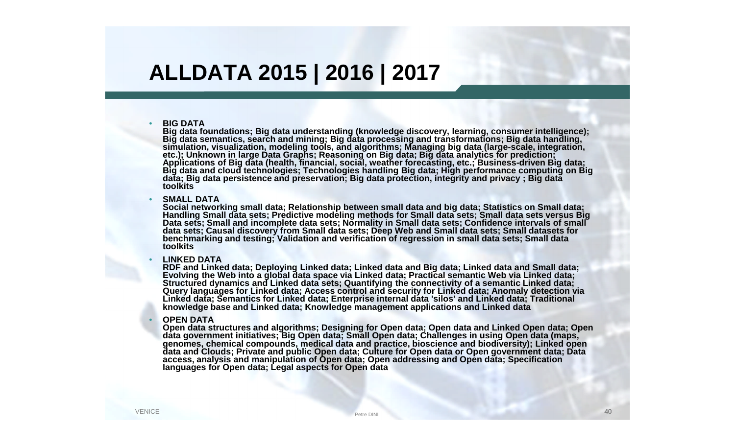## **ALLDATA 2015 | 2016 | 2017**

#### • **BIG DATA**

**Big data foundations; Big data understanding (knowledge discovery, learning, consumer intelligence); Big data semantics, search and mining; Big data processing and transformations; Big data handling, simulation, visualization, modeling tools, and algorithms; Managing big data (large-scale, integration, etc.); Unknown in large Data Graphs; Reasoning on Big data; Big data analytics for prediction; Applications of Big data (health, financial, social, weather forecasting, etc.; Business-driven Big data; Big data and cloud technologies; Technologies handling Big data; High performance computing on Big data; Big data persistence and preservation; Big data protection, integrity and privacy ; Big data toolkits**

#### **SMALL DATA**

**Social networking small data; Relationship between small data and big data; Statistics on Small data; Handling Small data sets; Predictive modeling methods for Small data sets; Small data sets versus Big Data sets; Small and incomplete data sets; Normality in Small data sets; Confidence intervals of small data sets; Causal discovery from Small data sets; Deep Web and Small data sets; Small datasets for benchmarking and testing; Validation and verification of regression in small data sets; Small data toolkits**

#### • **LINKED DATA**

**RDF and Linked data; Deploying Linked data; Linked data and Big data; Linked data and Small data; Evolving the Web into a global data space via Linked data; Practical semantic Web via Linked data; Structured dynamics and Linked data sets; Quantifying the connectivity of a semantic Linked data; Query languages for Linked data; Access control and security for Linked data; Anomaly detection via Linked data; Semantics for Linked data; Enterprise internal data 'silos' and Linked data; Traditional knowledge base and Linked data; Knowledge management applications and Linked data**

#### • **OPEN DATA**

**Open data structures and algorithms; Designing for Open data; Open data and Linked Open data; Open data government initiatives; Big Open data; Small Open data; Challenges in using Open data (maps, genomes, chemical compounds, medical data and practice, bioscience and biodiversity); Linked open data and Clouds; Private and public Open data; Culture for Open data or Open government data; Data access, analysis and manipulation of Open data; Open addressing and Open data; Specification languages for Open data; Legal aspects for Open data**